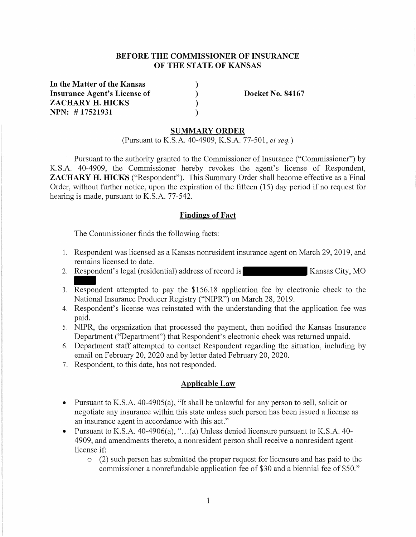## **BEFORE THE COMMISSIONER OF INSURANCE OF THE STATE OF KANSAS**

) ) ) )

**In the Matter of the Kansas Insurance Agent's License of ZACHARY H. HICKS NPN: # 17521931** 

**Docket No. 84167** 

### **SUMMARY ORDER**

(Pursuant to K.S.A. 40-4909, K.S.A. 77-501, *et seq.)* 

Pursuant to the authority granted to the Commissioner of Insurance ("Commissioner") by K.S.A. 40-4909, the Commissioner hereby revokes the agent's license of Respondent, **ZACHARY H. HICKS** ("Respondent"). This Summary Order shall become effective as a Final Order, without further notice, upon the expiration of the fifteen (15) day period if no request for hearing is made, pursuant to K.S.A. 77-542.

#### **Findings of Fact**

The Commissioner finds the following facts:

- 1. Respondent was licensed as a Kansas nonresident insurance agent on March 29, 2019, and remains licensed to date.
- 2. Respondent's legal (residential) address of record is Kansas City, MO
- 3. Respondent attempted to pay the \$156.18 application fee by electronic check to the National Insurance Producer Registry ("NIPR") on March 28, 2019.
- 4. Respondent's license was reinstated with the understanding that the application fee was paid.
- 5. NIPR, the organization that processed the payment, then notified the Kansas Insurance Department ("Department") that Respondent's electronic check was returned unpaid.
- 6. Department staff attempted to contact Respondent regarding the situation, including by email on February 20, 2020 and by letter dated February 20, 2020.
- 7. Respondent, to this date, has not responded.

### **Applicable Law**

- Pursuant to K.S.A. 40-4905(a), "It shall be unlawful for any person to sell, solicit or negotiate any insurance within this state unless such person has been issued a license as an insurance agent in accordance with this act."
- Pursuant to K.S.A. 40-4906(a), " $\dots$  (a) Unless denied licensure pursuant to K.S.A. 40-4909, and amendments thereto, a nonresident person shall receive a nonresident agent license if:
	- o (2) such person has submitted the proper request for licensure and has paid to the commissioner a nonrefundable application fee of \$30 and a biennial fee of \$50."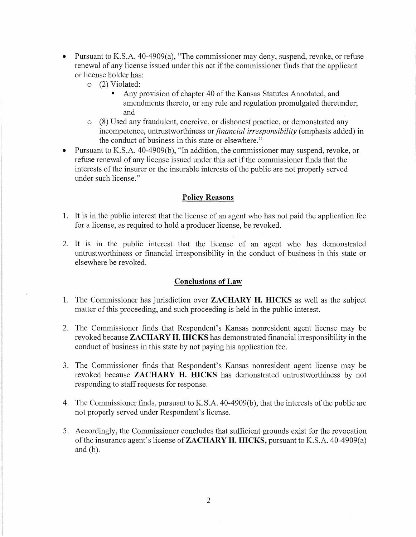- Pursuant to K.S.A. 40-4909(a), "The commissioner may deny, suspend, revoke, or refuse renewal of any license issued under this act if the commissioner finds that the applicant or license holder has:
	- o (2) Violated:
		- Any provision of chapter 40 of the Kansas Statutes Annotated, and amendments thereto, or any rule and regulation promulgated thereunder; and
	- o (8) Used any fraudulent, coercive, or dishonest practice, or demonstrated any incompetence, untrustworthiness or *financial irresponsibility* ( emphasis added) in the conduct of business in this state or elsewhere."
- Pursuant to K.S.A. 40-4909(b), "In addition, the commissioner may suspend, revoke, or refuse renewal of any license issued under this act if the commissioner finds that the interests of the insurer or the insurable interests of the public are not properly served under such license."

## **Policy Reasons**

- 1. It is in the public interest that the license of an agent who has not paid the application fee for a license, as required to hold a producer license, be revoked.
- 2. It is in the public interest that the license of an agent who has demonstrated untrustworthiness or financial irresponsibility in the conduct of business in this state or elsewhere be revoked.

### **Conclusions of Law**

- 1. The Commissioner has jurisdiction over **ZACHARY H. HICKS** as well as the subject matter of this proceeding, and such proceeding is held in the public interest.
- 2. The Commissioner finds that Respondent's Kansas nonresident agent license may be revoked because **ZACHARY H. HICKS** has demonstrated financial irresponsibility in the conduct of business in this state by not paying his application fee.
- 3. The Commissioner finds that Respondent's Kansas nonresident agent license may be revoked because **ZACHARY H. HICKS** has demonstrated untrustworthiness by not responding to staff requests for response.
- 4. The Commissioner finds, pursuant to K.S.A. 40-4909(b), that the interests of the public are not properly served under Respondent's license.
- 5. Accordingly, the Commissioner concludes that sufficient grounds exist for the revocation of the insurance agent's license of **ZACHARY H. HICKS,** pursuant to K.S.A. 40-4909(a) and (b).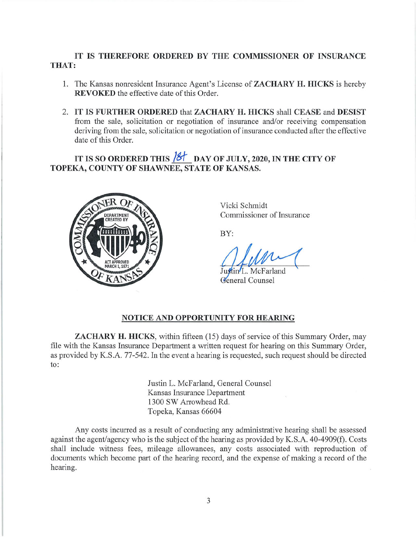# **IT IS THEREFORE ORDERED BY THE COMMISSIONER OF INSURANCE THAT:**

- 1. The Kansas nonresident Insurance Agent's License of **ZACHARY H. HICKS** is hereby **REVOKED** the effective date of this Order.
- 2. **IT IS FURTHER ORDERED** that **ZACHARY H. HICKS** shall **CEASE** and **DESIST**  from the sale, solicitation or negotiation of insurance and/or receiving compensation deriving from the sale, solicitation or negotiation of insurance conducted after the effective date of this Order.

IT IS SO ORDERED THIS  $\frac{181}{100}$  DAY OF JULY, 2020, IN THE CITY OF **TOPEKA, COUNTY OF SHAWNEE, STATE OF KANSAS.** 



Vicki Schmidt Commissioner of Insurance

BY:

L. McFarland General Counsel

### **NOTICE AND OPPORTUNITY FOR HEARING**

**ZACHARY H. HICKS,** within fifteen (15) days of service of this Summary Order, may file with the Kansas Insurance Department a written request for hearing on this Summary Order, as provided by K.S.A. 77-542. In the event a hearing is requested, such request should be directed to:

> Justin L. McFarland, General Counsel Kansas Insurance Department 1300 SW Arrowhead Rd. Topeka, Kansas 66604

Any costs incurred as a result of conducting any administrative hearing shall be assessed against the agent/agency who is the subject of the hearing as provided by K.S.A. 40-4909(f). Costs shall include witness fees, mileage allowances, any costs associated with reproduction of documents which become part of the hearing record, and the expense of making a record of the hearing.